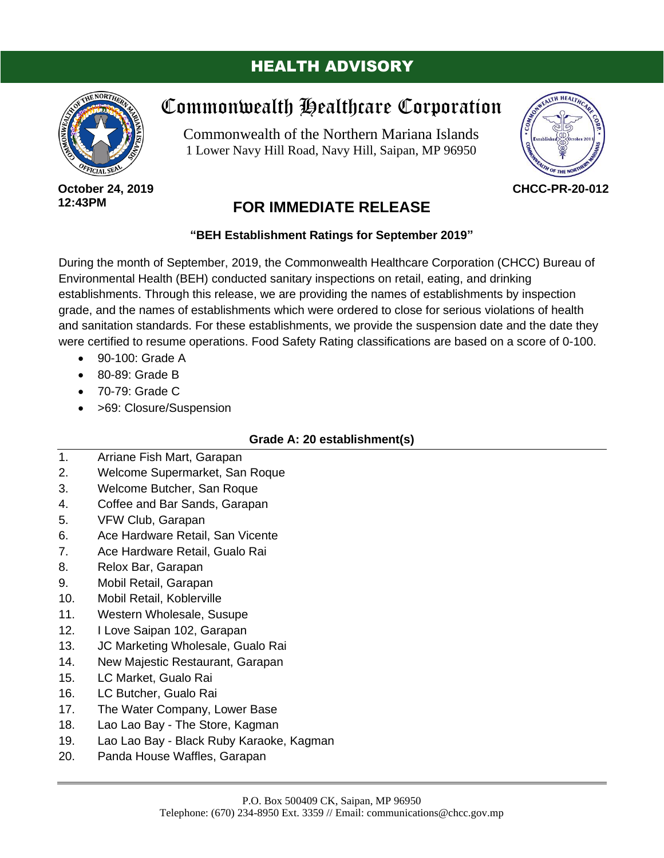# HEALTH ADVISORY



**October 24, 2019 12:43PM**

# Commonwealth Healthcare Corporation

Commonwealth of the Northern Mariana Islands 1 Lower Navy Hill Road, Navy Hill, Saipan, MP 96950



**CHCC-PR-20-012**

# **FOR IMMEDIATE RELEASE**

## **"BEH Establishment Ratings for September 2019"**

During the month of September, 2019, the Commonwealth Healthcare Corporation (CHCC) Bureau of Environmental Health (BEH) conducted sanitary inspections on retail, eating, and drinking establishments. Through this release, we are providing the names of establishments by inspection grade, and the names of establishments which were ordered to close for serious violations of health and sanitation standards. For these establishments, we provide the suspension date and the date they were certified to resume operations. Food Safety Rating classifications are based on a score of 0-100.

- 90-100: Grade A
- 80-89: Grade B
- 70-79: Grade C
- >69: Closure/Suspension

## **Grade A: 20 establishment(s)**

- 1. Arriane Fish Mart, Garapan
- 2. Welcome Supermarket, San Roque
- 3. Welcome Butcher, San Roque
- 4. Coffee and Bar Sands, Garapan
- 5. VFW Club, Garapan
- 6. Ace Hardware Retail, San Vicente
- 7. Ace Hardware Retail, Gualo Rai
- 8. Relox Bar, Garapan
- 9. Mobil Retail, Garapan
- 10. Mobil Retail, Koblerville
- 11. Western Wholesale, Susupe
- 12. I Love Saipan 102, Garapan
- 13. JC Marketing Wholesale, Gualo Rai
- 14. New Majestic Restaurant, Garapan
- 15. LC Market, Gualo Rai
- 16. LC Butcher, Gualo Rai
- 17. The Water Company, Lower Base
- 18. Lao Lao Bay The Store, Kagman
- 19. Lao Lao Bay Black Ruby Karaoke, Kagman
- 20. Panda House Waffles, Garapan